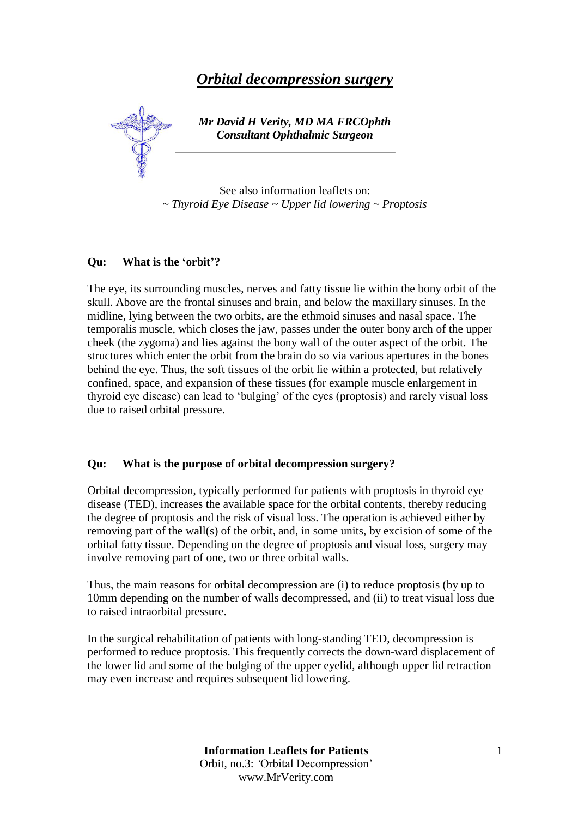# *Orbital decompression surgery*



# *Mr David H Verity, MD MA FRCOphth Consultant Ophthalmic Surgeon*

See also information leaflets on: *~ Thyroid Eye Disease ~ Upper lid lowering ~ Proptosis*

#### **Qu: What is the 'orbit'?**

The eye, its surrounding muscles, nerves and fatty tissue lie within the bony orbit of the skull. Above are the frontal sinuses and brain, and below the maxillary sinuses. In the midline, lying between the two orbits, are the ethmoid sinuses and nasal space. The temporalis muscle, which closes the jaw, passes under the outer bony arch of the upper cheek (the zygoma) and lies against the bony wall of the outer aspect of the orbit. The structures which enter the orbit from the brain do so via various apertures in the bones behind the eye. Thus, the soft tissues of the orbit lie within a protected, but relatively confined, space, and expansion of these tissues (for example muscle enlargement in thyroid eye disease) can lead to 'bulging' of the eyes (proptosis) and rarely visual loss due to raised orbital pressure.

#### **Qu: What is the purpose of orbital decompression surgery?**

Orbital decompression, typically performed for patients with proptosis in thyroid eye disease (TED), increases the available space for the orbital contents, thereby reducing the degree of proptosis and the risk of visual loss. The operation is achieved either by removing part of the wall(s) of the orbit, and, in some units, by excision of some of the orbital fatty tissue. Depending on the degree of proptosis and visual loss, surgery may involve removing part of one, two or three orbital walls.

Thus, the main reasons for orbital decompression are (i) to reduce proptosis (by up to 10mm depending on the number of walls decompressed, and (ii) to treat visual loss due to raised intraorbital pressure.

In the surgical rehabilitation of patients with long-standing TED, decompression is performed to reduce proptosis. This frequently corrects the down-ward displacement of the lower lid and some of the bulging of the upper eyelid, although upper lid retraction may even increase and requires subsequent lid lowering.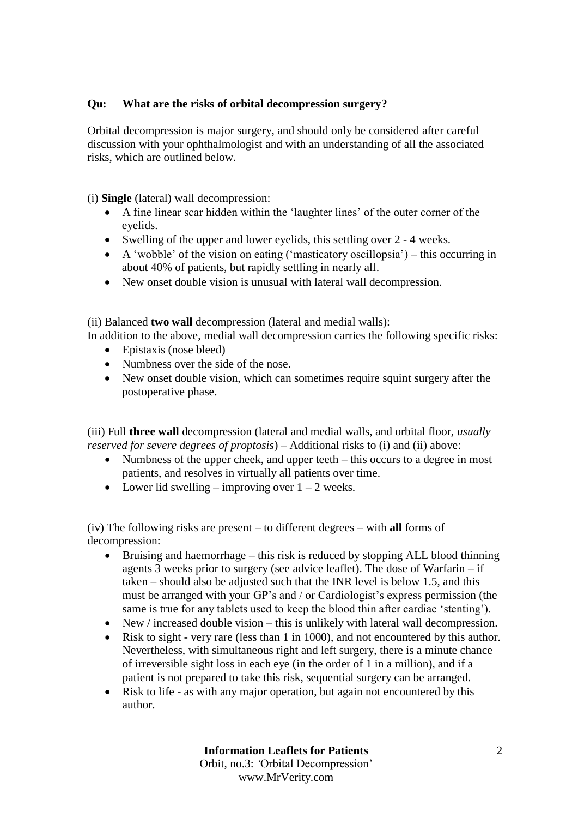# **Qu: What are the risks of orbital decompression surgery?**

Orbital decompression is major surgery, and should only be considered after careful discussion with your ophthalmologist and with an understanding of all the associated risks, which are outlined below.

(i) **Single** (lateral) wall decompression:

- A fine linear scar hidden within the 'laughter lines' of the outer corner of the eyelids.
- Swelling of the upper and lower eyelids, this settling over 2 4 weeks.
- A 'wobble' of the vision on eating ('masticatory oscillopsia') this occurring in about 40% of patients, but rapidly settling in nearly all.
- New onset double vision is unusual with lateral wall decompression.

(ii) Balanced **two wall** decompression (lateral and medial walls):

In addition to the above, medial wall decompression carries the following specific risks:

- Epistaxis (nose bleed)
- Numbness over the side of the nose.
- New onset double vision, which can sometimes require squint surgery after the postoperative phase.

(iii) Full **three wall** decompression (lateral and medial walls, and orbital floor, *usually reserved for severe degrees of proptosis*) – Additional risks to (i) and (ii) above:

- Numbness of the upper cheek, and upper teeth this occurs to a degree in most patients, and resolves in virtually all patients over time.
- Lower lid swelling improving over  $1 2$  weeks.

(iv) The following risks are present – to different degrees – with **all** forms of decompression:

- Bruising and haemorrhage this risk is reduced by stopping ALL blood thinning agents 3 weeks prior to surgery (see advice leaflet). The dose of Warfarin – if taken – should also be adjusted such that the INR level is below 1.5, and this must be arranged with your GP's and / or Cardiologist's express permission (the same is true for any tablets used to keep the blood thin after cardiac 'stenting').
- New / increased double vision this is unlikely with lateral wall decompression.
- Risk to sight very rare (less than 1 in 1000), and not encountered by this author. Nevertheless, with simultaneous right and left surgery, there is a minute chance of irreversible sight loss in each eye (in the order of 1 in a million), and if a patient is not prepared to take this risk, sequential surgery can be arranged.
- Risk to life as with any major operation, but again not encountered by this author.